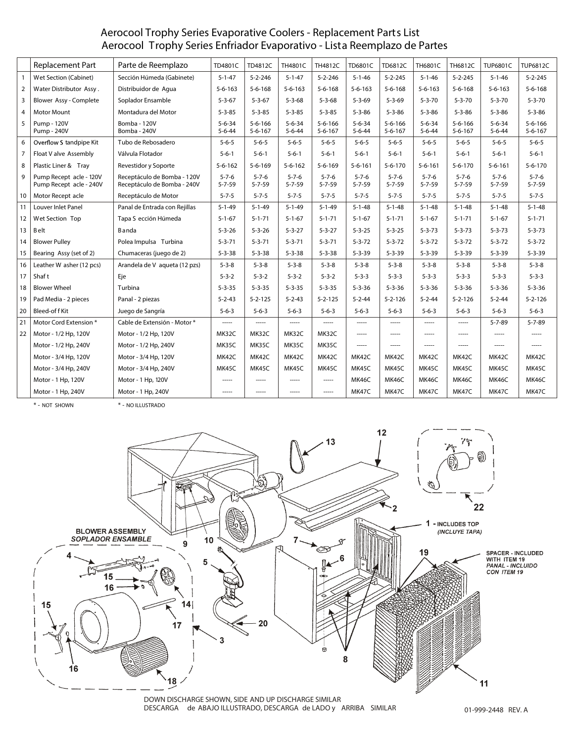# **Aerocool Trophy Series Evaporative Coolers - Replacement Parts List** Aerocool Trophy Series Enfriador Evaporativo - Lista Reemplazo de Partes

|                | <b>Replacement Part</b>                            | Parte de Reemplazo                                         | TD4801C                      | TD4812C                        | TH4801C                      | TH4812C                        | <b>TD6801C</b>               | <b>TD6812C</b>                 | <b>TH6801C</b>               | TH6812C                        | <b>TUP6801C</b>              | <b>TUP6812C</b>                |
|----------------|----------------------------------------------------|------------------------------------------------------------|------------------------------|--------------------------------|------------------------------|--------------------------------|------------------------------|--------------------------------|------------------------------|--------------------------------|------------------------------|--------------------------------|
| $\overline{1}$ | <b>Wet Section (Cabinet)</b>                       | Sección Húmeda (Gabinete)                                  | $5 - 1 - 47$                 | $5 - 2 - 246$                  | $5 - 1 - 47$                 | $5 - 2 - 246$                  | $5 - 1 - 46$                 | $5 - 2 - 245$                  | $5 - 1 - 46$                 | $5 - 2 - 245$                  | $5 - 1 - 46$                 | $5 - 2 - 245$                  |
| $\overline{2}$ | Water Distributor Assy.                            | Distribuidor de Aqua                                       | $5 - 6 - 163$                | $5 - 6 - 168$                  | $5 - 6 - 163$                | $5 - 6 - 168$                  | $5 - 6 - 163$                | $5 - 6 - 168$                  | $5 - 6 - 163$                | $5 - 6 - 168$                  | $5 - 6 - 163$                | $5 - 6 - 168$                  |
| 3              | Blower Assy - Complete                             | Soplador Ensamble                                          | $5 - 3 - 67$                 | $5 - 3 - 67$                   | $5 - 3 - 68$                 | $5 - 3 - 68$                   | $5 - 3 - 69$                 | $5 - 3 - 69$                   | $5 - 3 - 70$                 | $5 - 3 - 70$                   | $5 - 3 - 70$                 | $5 - 3 - 70$                   |
| $\overline{4}$ | <b>Motor Mount</b>                                 | Montadura del Motor                                        | $5 - 3 - 85$                 | $5 - 3 - 85$                   | $5 - 3 - 85$                 | $5 - 3 - 85$                   | $5 - 3 - 86$                 | $5 - 3 - 86$                   | $5 - 3 - 86$                 | $5 - 3 - 86$                   | $5 - 3 - 86$                 | $5 - 3 - 86$                   |
| 5              | Pump - 120V<br>Pump - 240V                         | Bomba - 120V<br>Bomba - 240V                               | $5 - 6 - 34$<br>$5 - 6 - 44$ | $5 - 6 - 166$<br>$5 - 6 - 167$ | $5 - 6 - 34$<br>$5 - 6 - 44$ | $5 - 6 - 166$<br>$5 - 6 - 167$ | $5 - 6 - 34$<br>$5 - 6 - 44$ | $5 - 6 - 166$<br>$5 - 6 - 167$ | $5 - 6 - 34$<br>$5 - 6 - 44$ | $5 - 6 - 166$<br>$5 - 6 - 167$ | $5 - 6 - 34$<br>$5 - 6 - 44$ | $5 - 6 - 166$<br>$5 - 6 - 167$ |
| 6              | Overflow S tandpipe Kit                            | Tubo de Rebosadero                                         | $5 - 6 - 5$                  | $5 - 6 - 5$                    | $5 - 6 - 5$                  | $5 - 6 - 5$                    | $5 - 6 - 5$                  | $5 - 6 - 5$                    | $5 - 6 - 5$                  | $5 - 6 - 5$                    | $5 - 6 - 5$                  | $5 - 6 - 5$                    |
| $\overline{7}$ | Float V alve Assembly                              | Válvula Flotador                                           | $5 - 6 - 1$                  | $5 - 6 - 1$                    | $5 - 6 - 1$                  | $5 - 6 - 1$                    | $5 - 6 - 1$                  | $5 - 6 - 1$                    | $5 - 6 - 1$                  | $5 - 6 - 1$                    | $5 - 6 - 1$                  | $5 - 6 - 1$                    |
| 8              | Plastic Liner & Tray                               | Revestidor y Soporte                                       | $5 - 6 - 162$                | $5 - 6 - 169$                  | $5 - 6 - 162$                | $5 - 6 - 169$                  | $5 - 6 - 161$                | $5 - 6 - 170$                  | $5 - 6 - 161$                | $5 - 6 - 170$                  | $5 - 6 - 161$                | $5 - 6 - 170$                  |
| 9              | Pump Recept acle - 120V<br>Pump Recept acle - 240V | Receptáculo de Bomba - 120V<br>Receptáculo de Bomba - 240V | $5 - 7 - 6$<br>$5 - 7 - 59$  | $5 - 7 - 6$<br>$5 - 7 - 59$    | $5 - 7 - 6$<br>$5 - 7 - 59$  | $5 - 7 - 6$<br>$5 - 7 - 59$    | $5 - 7 - 6$<br>$5 - 7 - 59$  | $5 - 7 - 6$<br>$5 - 7 - 59$    | $5 - 7 - 6$<br>$5 - 7 - 59$  | $5 - 7 - 6$<br>$5 - 7 - 59$    | $5 - 7 - 6$<br>$5 - 7 - 59$  | $5 - 7 - 6$<br>$5 - 7 - 59$    |
| 10             | Motor Recept acle                                  | Receptáculo de Motor                                       | $5 - 7 - 5$                  | $5 - 7 - 5$                    | $5 - 7 - 5$                  | $5 - 7 - 5$                    | $5 - 7 - 5$                  | $5 - 7 - 5$                    | $5 - 7 - 5$                  | $5 - 7 - 5$                    | $5 - 7 - 5$                  | $5 - 7 - 5$                    |
| 11             | <b>Louver Inlet Panel</b>                          | Panal de Entrada con Rejillas                              | $5 - 1 - 49$                 | $5 - 1 - 49$                   | $5 - 1 - 49$                 | $5 - 1 - 49$                   | $5 - 1 - 48$                 | $5 - 1 - 48$                   | $5 - 1 - 48$                 | $5 - 1 - 48$                   | $5 - 1 - 48$                 | $5 - 1 - 48$                   |
| 12             | <b>Wet Section Top</b>                             | Tapa S ección Húmeda                                       | $5 - 1 - 67$                 | $5 - 1 - 71$                   | $5 - 1 - 67$                 | $5 - 1 - 71$                   | $5 - 1 - 67$                 | $5 - 1 - 71$                   | $5 - 1 - 67$                 | $5 - 1 - 71$                   | $5 - 1 - 67$                 | $5 - 1 - 71$                   |
| 13             | Belt                                               | Banda                                                      | $5 - 3 - 26$                 | $5 - 3 - 26$                   | $5 - 3 - 27$                 | $5 - 3 - 27$                   | $5 - 3 - 25$                 | $5 - 3 - 25$                   | $5 - 3 - 73$                 | $5 - 3 - 73$                   | $5 - 3 - 73$                 | $5 - 3 - 73$                   |
| 14             | <b>Blower Pullev</b>                               | Polea Impulsa Turbina                                      | $5 - 3 - 71$                 | $5 - 3 - 71$                   | $5 - 3 - 71$                 | $5 - 3 - 71$                   | $5 - 3 - 72$                 | $5 - 3 - 72$                   | $5 - 3 - 72$                 | $5 - 3 - 72$                   | $5 - 3 - 72$                 | $5 - 3 - 72$                   |
| 15             | Bearing Assy (set of 2)                            | Chumaceras (juego de 2)                                    | $5 - 3 - 38$                 | $5 - 3 - 38$                   | $5 - 3 - 38$                 | $5 - 3 - 38$                   | $5 - 3 - 39$                 | $5 - 3 - 39$                   | $5 - 3 - 39$                 | $5 - 3 - 39$                   | $5 - 3 - 39$                 | $5 - 3 - 39$                   |
| 16             | Leather W asher (12 pcs)                           | Arandela de V aqueta (12 pzs)                              | $5 - 3 - 8$                  | $5 - 3 - 8$                    | $5 - 3 - 8$                  | $5 - 3 - 8$                    | $5 - 3 - 8$                  | $5 - 3 - 8$                    | $5 - 3 - 8$                  | $5 - 3 - 8$                    | $5 - 3 - 8$                  | $5 - 3 - 8$                    |
| 17             | Shaf t                                             | Eje                                                        | $5 - 3 - 2$                  | $5 - 3 - 2$                    | $5 - 3 - 2$                  | $5 - 3 - 2$                    | $5 - 3 - 3$                  | $5 - 3 - 3$                    | $5 - 3 - 3$                  | $5 - 3 - 3$                    | $5 - 3 - 3$                  | $5 - 3 - 3$                    |
| 18             | <b>Blower Wheel</b>                                | Turbina                                                    | $5 - 3 - 35$                 | $5 - 3 - 35$                   | $5 - 3 - 35$                 | $5 - 3 - 35$                   | $5 - 3 - 36$                 | $5 - 3 - 36$                   | $5 - 3 - 36$                 | $5 - 3 - 36$                   | $5 - 3 - 36$                 | $5 - 3 - 36$                   |
| 19             | Pad Media - 2 pieces                               | Panal - 2 piezas                                           | $5 - 2 - 43$                 | $5 - 2 - 125$                  | $5 - 2 - 43$                 | $5 - 2 - 125$                  | $5 - 2 - 44$                 | $5 - 2 - 126$                  | $5 - 2 - 44$                 | $5 - 2 - 126$                  | $5 - 2 - 44$                 | $5 - 2 - 126$                  |
| 20             | Bleed-off Kit                                      | Juego de Sangría                                           | $5 - 6 - 3$                  | $5 - 6 - 3$                    | $5 - 6 - 3$                  | $5 - 6 - 3$                    | $5 - 6 - 3$                  | $5 - 6 - 3$                    | $5 - 6 - 3$                  | $5 - 6 - 3$                    | $5 - 6 - 3$                  | $5 - 6 - 3$                    |
| 21             | Motor Cord Extension *                             | Cable de Extensión - Motor *                               | -----                        | -----                          | -----                        | -----                          | -----                        | -----                          | -----                        | -----                          | $5 - 7 - 89$                 | $5 - 7 - 89$                   |
| 22             | Motor - 1/2 Hp, 120V                               | Motor - 1/2 Hp, 120V                                       | MK32C                        | MK32C                          | MK32C                        | MK32C                          | -----                        | -----                          | -----                        | -----                          |                              | -----                          |
|                | Motor - 1/2 Hp, 240V                               | Motor - 1/2 Hp, 240V                                       | MK35C                        | <b>MK35C</b>                   | <b>MK35C</b>                 | MK35C                          | -----                        | -----                          | -----                        | -----                          | $- - - -$                    | -----                          |
|                | Motor - 3/4 Hp, 120V                               | Motor - 3/4 Hp, 120V                                       | MK42C                        | MK42C                          | MK42C                        | MK42C                          | MK42C                        | MK42C                          | MK42C                        | MK42C                          | MK42C                        | MK42C                          |
|                | Motor - 3/4 Hp, 240V                               | Motor - 3/4 Hp, 240V                                       | MK45C                        | MK45C                          | MK45C                        | MK45C                          | MK45C                        | MK45C                          | MK45C                        | MK45C                          | MK45C                        | MK45C                          |
|                | Motor - 1 Hp, 120V                                 | Motor - 1 Hp, 120V                                         |                              | -----                          | -----                        | -----                          | MK46C                        | MK46C                          | MK46C                        | MK46C                          | MK46C                        | MK46C                          |
|                | Motor - 1 Hp, 240V                                 | Motor - 1 Hp, 240V                                         | $1 - 1 - 1$                  | -----                          | -----                        | $1 - 1 - 1 = 1$                | MK47C                        | MK47C                          | MK47C                        | MK47C                          | MK47C                        | MK47C                          |

**\*** - NOT SHOWN **\*** - *NO ILLUSTRADO*



DOWN DISCHARGE SHOWN, SIDE AND UP DISCHARGE SIMILAR *DESCARGA de ABAJO ILLUSTRADO, DESCARGA de LADO y ARRIBA SIMILAR*